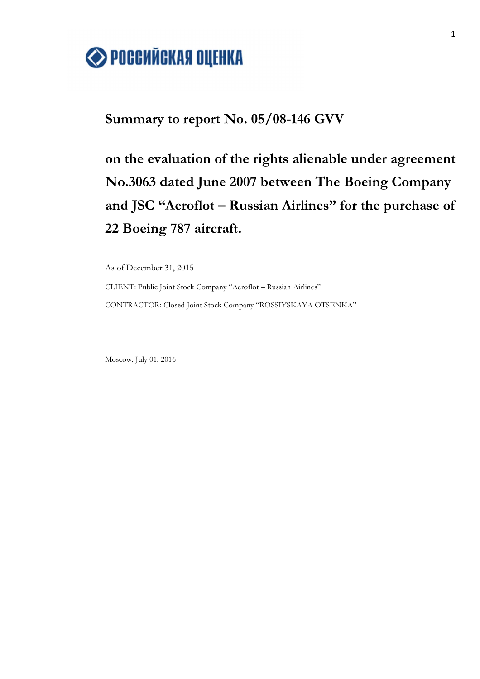

## Summary to report No. 05/08-146 GVV

on the evaluation of the rights alienable under agreement No.3063 dated June 2007 between The Boeing Company and JSC "Aeroflot – Russian Airlines" for the purchase of 22 Boeing 787 aircraft.

As of December 31, 2015

CLIENT: Public Joint Stock Company "Aeroflot – Russian Airlines" CONTRACTOR: Closed Joint Stock Company "ROSSIYSKAYA OTSENKA"

Moscow, July 01, 2016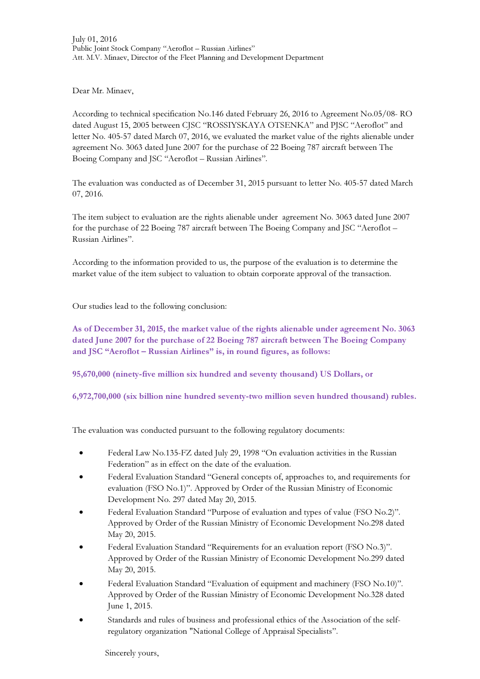Dear Mr. Minaev,

According to technical specification No.146 dated February 26, 2016 to Agreement No.05/08- RO dated August 15, 2005 between CJSC "ROSSIYSKAYA OTSENKA" and PJSC "Aeroflot" and letter No. 405-57 dated March 07, 2016, we evaluated the market value of the rights alienable under agreement No. 3063 dated June 2007 for the purchase of 22 Boeing 787 aircraft between The Boeing Company and JSC "Aeroflot – Russian Airlines".

The evaluation was conducted as of December 31, 2015 pursuant to letter No. 405-57 dated March 07, 2016.

The item subject to evaluation are the rights alienable under agreement No. 3063 dated June 2007 for the purchase of 22 Boeing 787 aircraft between The Boeing Company and JSC "Aeroflot – Russian Airlines".

According to the information provided to us, the purpose of the evaluation is to determine the market value of the item subject to valuation to obtain corporate approval of the transaction.

Our studies lead to the following conclusion:

As of December 31, 2015, the market value of the rights alienable under agreement No. 3063 dated June 2007 for the purchase of 22 Boeing 787 aircraft between The Boeing Company and JSC "Aeroflot – Russian Airlines" is, in round figures, as follows:

95,670,000 (ninety-five million six hundred and seventy thousand) US Dollars, or

6,972,700,000 (six billion nine hundred seventy-two million seven hundred thousand) rubles.

The evaluation was conducted pursuant to the following regulatory documents:

- Federal Law No.135-FZ dated July 29, 1998 "On evaluation activities in the Russian Federation" as in effect on the date of the evaluation.
- Federal Evaluation Standard "General concepts of, approaches to, and requirements for evaluation (FSO No.1)". Approved by Order of the Russian Ministry of Economic Development No. 297 dated May 20, 2015.
- Federal Evaluation Standard "Purpose of evaluation and types of value (FSO No.2)". Approved by Order of the Russian Ministry of Economic Development No.298 dated May 20, 2015.
- Federal Evaluation Standard "Requirements for an evaluation report (FSO No.3)". Approved by Order of the Russian Ministry of Economic Development No.299 dated May 20, 2015.
- Federal Evaluation Standard "Evaluation of equipment and machinery (FSO No.10)". Approved by Order of the Russian Ministry of Economic Development No.328 dated June 1, 2015.
- Standards and rules of business and professional ethics of the Association of the selfregulatory organization "National College of Appraisal Specialists".

Sincerely yours,